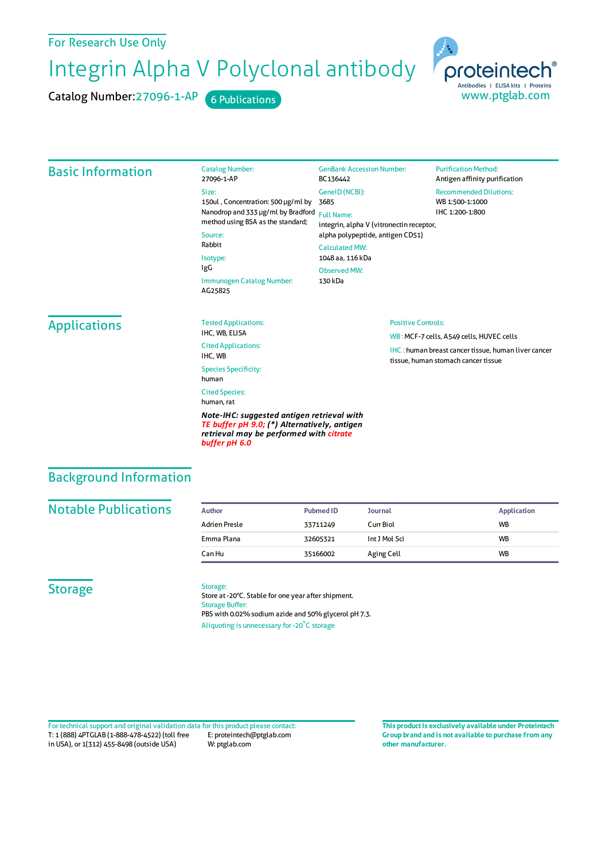### For Research Use Only

Integrin Alpha V Polyclonal antibody

Catalog Number:

Catalog Number: 27096-1-AP 6 Publications



# Basic Information

#### 27096-1-AP Size: 150ul , Concentration: 500 μg/ml by Nanodrop and 333 μg/ml by Bradford Full Name: method using BSA as the standard; Source: Rabbit Isotype: IgG Immunogen Catalog Number: AG25825

GenBank Accession Number: BC136442 GeneID(NCBI): 3685 integrin, alpha V (vitronectin receptor, alpha polypeptide, antigen CD51) CalculatedMW:

#### 1048 aa, 116 kDa ObservedMW:

Positive Controls:

WB : MCF-7 cells, A549 cells, HUVEC cells

tissue, human stomach cancer tissue

IHC : human breast cancer tissue, human liver cancer

130 kDa

#### **Purification Method:** Antigen affinity purification

Recommended Dilutions: WB 1:500-1:1000 IHC 1:200-1:800

## Applications

Tested Applications: IHC, WB, ELISA Cited Applications: IHC, WB

Species Specificity: human Cited Species:

human, rat

*Note-IHC: suggested antigen retrieval with TE buffer pH 9.0; (\*) Alternatively, antigen retrieval may be performed with citrate buffer pH 6.0*

### Background Information

### **Notable Publications**

| Author        | <b>Pubmed ID</b> | <b>Journal</b> | Application |
|---------------|------------------|----------------|-------------|
| Adrien Presle | 33711249         | Curr Biol      | <b>WB</b>   |
| Emma Plana    | 32605321         | Int J Mol Sci  | <b>WB</b>   |
| Can Hu        | 35166002         | Aging Cell     | WB          |

#### **Storage**

#### Storage:

Store at -20°C. Stable for one year after shipment. Storage Buffer: PBS with 0.02% sodium azide and 50% glycerol pH 7.3. Aliquoting is unnecessary for -20<sup>°</sup>C storage

T: 1 (888) 4PTGLAB (1-888-478-4522) (toll free in USA), or 1(312) 455-8498 (outside USA) E: proteintech@ptglab.com W: ptglab.com Fortechnical support and original validation data forthis product please contact: **This productis exclusively available under Proteintech**

**Group brand and is not available to purchase from any other manufacturer.**